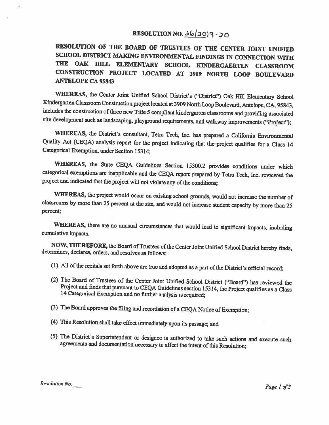# RESOLUTION NO.  $\frac{\Delta(1,0)}{2}$  - 20

RESOLUTION OF THE BOARD OF TRUSTEES OF THE CENTER JOINT UNIFIED SCHOOL DISTRICT MAKING ENVIRONMENTAL FINDINGS IN CONNECTION WITH THE OAK HILL ELEMENTARY SCHOOL KINDERGAERTEN CLASSROOM CONSTRUCTION PROJECT LOCATED AT <sup>3909</sup> NORTH LOOP BOULEVARD ANTELOPE CA 95843

WHEREAS, the Center Joint Unified School District's ("District") Oak Hill Elementary School Kindergarten Classroom Construction project located at <sup>3909</sup> North Loop Boulevard, Antelope, CA, 95843, includes the construction of three new Title 5 compliant kindergarten classrooms and providing associated site development such as landscaping, <sup>p</sup>layground requirements, and walkway improvements ("Project");

WHEREAS, the District's consultant, Tetra Tech, Inc. has prepared a California Environmental Quality Act (CEQA) analysis report for the project indicating that the project qualifies for <sup>a</sup> Class <sup>14</sup> Categorical Exemption, under Section 15314;

WHEREAS, the State CEQA Guidelines Section 15300.2 provides conditions under which categorical exemptions are inapplicable and the CEQA report prepared by Tetra Tech, Inc. reviewed the project and indicated that the project will not violate any of the conditions;

WHEREAS, the project would occur on existing school grounds, would not increase the number of classrooms by more than <sup>25</sup> percent at the site, and would not increase student capacity by more than <sup>25</sup> percent;

WHEREAS, there are no unusual circumstances that would lead to significant impacts, including cumulative impacts.

NOW, THEREFORE, the Board of Trustees of the Center Joint Unified School District hereby finds, determines, declares, orders, and resolves as follows:

- (1) All of the recitals set forth above are true and adopted as a part of the District's official record;
- (2) The Board of Trustees of the Center Joint Unified School District ("Board") has reviewed the Project and finds that pursuant to CEQA Guidelines section 15314, the Project qualifies as a Class 14 Categorical Exemption a
- (3) The Board approves the filing and recordation of <sup>a</sup> CEQA Notice of Exemption;
- (4) This Resolution shall take effect immediately upon its passage; and
- (5) The District's Superintendent or designee is authorized to take such actions and execute such agreements and documentation necessary to affect the intent of this Resolution;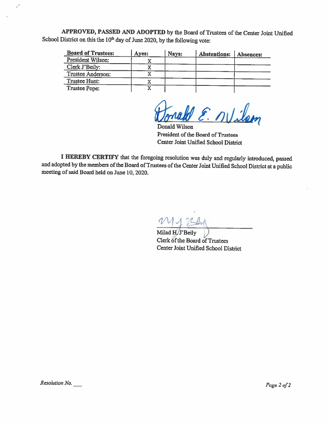APPROVED, PASSED AND ADOPTED by the Board of Trustees of the Center Joint Unified School District on this the  $10<sup>th</sup>$  day of June 2020, by the following vote:

| <b>Board of Trustees:</b> | Ayes: | Nays: | Abstentions: | <b>Absences:</b> |
|---------------------------|-------|-------|--------------|------------------|
| President Wilson:         |       |       |              |                  |
| Clerk J'Beily:            |       |       |              |                  |
| <b>Trustee Anderson:</b>  |       |       |              |                  |
| Trustee Hunt:             |       |       |              |                  |
| Trustee Pope:             |       |       |              |                  |

W E. Nilson

Donald Wilson President of the Board of Trustees Center Joint Unified School District

<sup>I</sup> HEREBY CERTIFY that the foregoing resolution was duly and regularly introduced, passed and adopted by the members of the Board of Trustees of the Center Joint Unified School District at a public meeting of said Board held on June 10, 2020.

M17541

Milad H/J'Beily )<br>Clerk of the Board of Trustees Center Joint Unified School District

 $\mathcal{S}$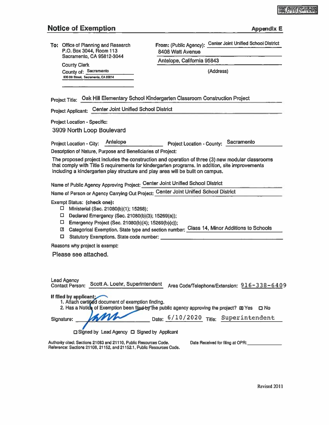# Notice of Exemption Appendix E

| <b>Notice of Exemption</b>                                                                                                                                                                                                                                   | <b>Appendix E</b>                                                                                                                                                                                   |
|--------------------------------------------------------------------------------------------------------------------------------------------------------------------------------------------------------------------------------------------------------------|-----------------------------------------------------------------------------------------------------------------------------------------------------------------------------------------------------|
| To: Office of Planning and Research<br>P.O. Box 3044, Room 113                                                                                                                                                                                               | From: (Public Agency): Center Joint Unified School District<br>8408 Watt Avenue                                                                                                                     |
| Sacramento, CA 95812-3044                                                                                                                                                                                                                                    | Antelope, California 95843                                                                                                                                                                          |
| <b>County Clerk</b><br>County of: Sacramento<br>600 8th Street, Sacramento, CA 95814                                                                                                                                                                         | (Address)                                                                                                                                                                                           |
|                                                                                                                                                                                                                                                              | Project Title: Oak Hill Elementary School Kindergarten Classroom Construction Project                                                                                                               |
| <b>Center Joint Unified School District</b><br><b>Project Applicant:</b>                                                                                                                                                                                     |                                                                                                                                                                                                     |
| <b>Project Location - Specific:</b><br>3909 North Loop Boulevard                                                                                                                                                                                             |                                                                                                                                                                                                     |
| Description of Nature, Purpose and Beneficiaries of Project:<br>including a kindergarten play structure and play area will be built on campus.<br>Name of Public Agency Approving Project: Center Joint Unified School District                              | The proposed project includes the construction and operation of three (3) new modular classrooms<br>that comply with Title 5 requirements for kindergarten programs. In addition, site improvements |
| Name of Person or Agency Carrying Out Project: Center Joint Unified School District                                                                                                                                                                          |                                                                                                                                                                                                     |
| <b>Exempt Status: (check one):</b><br>□<br>Ministerial (Sec. 21080(b)(1); 15268);<br>О.<br>Declared Emergency (Sec. 21080(b)(3); 15269(a));<br>0<br>Emergency Project (Sec. 21080(b)(4); 15269(b)(c));<br>凹<br>□<br>Statutory Exemptions. State code number: | Categorical Exemption. State type and section number: Class 14, Minor Additions to Schools                                                                                                          |
| Reasons why project is exempt:                                                                                                                                                                                                                               |                                                                                                                                                                                                     |
| Please see attached.                                                                                                                                                                                                                                         |                                                                                                                                                                                                     |
| <b>Lead Agency</b><br>Scott A. Loehr, Superintendent<br><b>Contact Person:</b>                                                                                                                                                                               | Area Code/Telephone/Extension: 916-338-6409                                                                                                                                                         |
| If filed by applicant;<br>1. Attach certified document of exemption finding.                                                                                                                                                                                 | 2. Has a Notich of Exemption been filed by the public agency approving the project? (D) Yes<br>m No                                                                                                 |
| am<br>Signature:                                                                                                                                                                                                                                             | Date: $6/10/2020$ Title: Superintendent                                                                                                                                                             |

C Signed by Lead Agency C Signed by Applicant

Authority cited: Sections 21083 and 21110, Public Resources Code. Date Received for filing at OPR:<br>Reference: Sections 21108. 21152. and 21152.1. Public Resources Code.

Revised 2011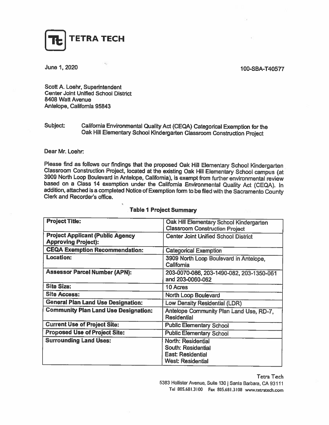

# **June 1, 2020** 100-SBA-T40577

Scott A. Loehr, Superintendent Center Joint Unified School District 8408 Watt Avenue Antelope, California 95843

# Subject: California Environmental Quality Act (CEQA) Categorical Exemption for the Oak Hill Elementary School Kindergarten Classroom Construction Project

#### Dear Mr. Loehr

Please find as follows our findings that the proposed Oak Hill Elementary School Kindergarten<br>Classroom Construction Project, located at the existing Oak Hill Elementary School campus (at<br>3909 North Loop Boulevard in Antel

| <b>Project Title:</b>                       | Oak Hill Elementary School Kindergarten                       |  |  |
|---------------------------------------------|---------------------------------------------------------------|--|--|
|                                             | <b>Classroom Construction Project</b>                         |  |  |
| <b>Project Applicant (Public Agency</b>     | <b>Center Joint Unified School District</b>                   |  |  |
| <b>Approving Project):</b>                  |                                                               |  |  |
| <b>CEQA Exemption Recommendation:</b>       | <b>Categorical Exemption</b>                                  |  |  |
| Location:                                   | 3909 North Loop Boulevard in Antelope.<br>California          |  |  |
| <b>Assessor Parcel Number (APN):</b>        | 203-0070-086, 203-1490-082, 203-1350-061<br>and 203-0060-062  |  |  |
| <b>Site Size:</b>                           | 10 Acres                                                      |  |  |
| <b>Site Access:</b>                         | North Loop Boulevard                                          |  |  |
| <b>General Plan Land Use Designation:</b>   | Low Density Residential (LDR)                                 |  |  |
| <b>Community Plan Land Use Designation:</b> | Antelope Community Plan Land Use, RD-7.<br><b>Residential</b> |  |  |
| <b>Current Use of Project Site:</b>         | <b>Public Elementary School</b>                               |  |  |
| <b>Proposed Use of Project Site:</b>        | <b>Public Elementary School</b>                               |  |  |
| <b>Surrounding Land Uses:</b>               | North: Residential                                            |  |  |
|                                             | South: Residential                                            |  |  |
|                                             | <b>East: Residential</b>                                      |  |  |
|                                             | <b>West: Residential</b>                                      |  |  |

#### Table <sup>I</sup> Project Summary

**Tetra Tech** 

5383 Hollister Avenue, Suite 130 | Santa Barbara, CA 93111 Tel 805.681.3100 Fax 805.681.3108 www.tetratech.com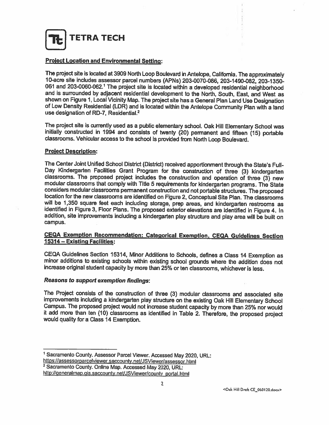TETRA TECH

## **Project Location and Environmental Setting:**

The project site is located at <sup>3909</sup> North Loop Boulevard in Antelope, California. The approximately 10-acre site includes assessor parcel numbers (APNs) 203-0070-086, 203-1490-082, 203-1350 and is surrounded by adjacent residential development to the North, South, East, and West as shown on Figure 1, Local Vicinity Map. The project site has a General Plan Land Use Designation<br>of Low Density Residential (LDR) and is located within the Antelope Community Plan with a land use designation of RD-7, Residential.<sup>2</sup>

The project site is currently used as a public elementary school. Oak Hill Elementary School was initially constructed in 1994 and consists of twenty (20) permanent and fifteen (15) portable classrooms. Vehicular access to

#### Project Description:

The Center Joint Unified School District (District) received apportionment through the State's Full-<br>Day Kindergarten Facilities Grant Program for the construction of three (3) kindergarten<br>classrooms. The proposed project campus.

## CEQA Exemption Recommendation: Categorical Exemption, CEQA Guidelines Section 15314— Existing Facilities:

CEQA Guidelines Section 15314, Minor Additions to Schools, defines <sup>a</sup> Class <sup>14</sup> Exemption as minor additions to existing schools within existing school grounds where the addition does not increase original student capacity by more than 25% or ten classrooms, whichever is less.

#### Reasons to support exemption findings:

The Project consists of the construction of three (3) modular classrooms and associated site improvements including a kindergarten play structure on the existing Oak Hill Elementary School Campus. The proposed project would not increase student capacity by more than 25% nor would<br>it add more than ten (10) classrooms as identified in Table 2. Therefore, the proposed project<br>would quality for a Class 14 Exempt

<sup>&</sup>lt;sup>1</sup> Sacramento County. Assessor Parcel Viewer. Accessed May 2020, URL:<br>https://assessorparcelviewer.saccounty.net/JSViewer/assessor.html<br><sup>2</sup> Sacramento County. Online Map. Accessed May 2020, URL:<br>http://generalmap.gis.sacc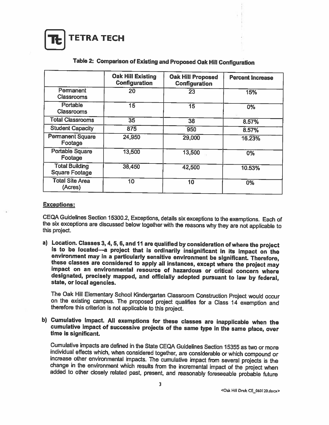TETRA TECH

|                                                | <b>Oak Hill Existing</b><br><b>Configuration</b> | <b>Oak Hill Proposed</b><br><b>Configuration</b> | <b>Percent Increase</b> |
|------------------------------------------------|--------------------------------------------------|--------------------------------------------------|-------------------------|
| Permanent<br><b>Classrooms</b>                 | 20                                               | 23                                               | 15%                     |
| Portable<br><b>Classrooms</b>                  | 15                                               | 15                                               | $0\%$                   |
| <b>Total Classrooms</b>                        | 35                                               | 38                                               | 8.57%                   |
| <b>Student Capacity</b>                        | 875                                              | 950                                              | 8.57%                   |
| <b>Permanent Square</b><br>Footage             | 24,950                                           | 29,000                                           | 16.23%                  |
| <b>Portable Square</b><br>Footage              | 13,500                                           | 13,500                                           | 0%                      |
| <b>Total Building</b><br><b>Square Footage</b> | 38,450                                           | 42,500                                           | 10.53%                  |
| <b>Total Site Area</b><br>(Acres)              | 10                                               | 10                                               | 0%                      |

# Table 2: Comparison of Existing and Proposed Oak Hill Configuration

#### Exceptions:

CEQA Guidelines Section 15300.2, Exceptions, details six exceptions to the exemptions. Each of the six exceptions are discussed below together with the reasons why they are not applicable to this project.

a) Location. Classes 3, 4, 5, 6, and 11 are qualified by consideration of where the project<br>is to be located—a project that is ordinarily insignificant in its impact on the<br>environment may in a particularly sensitive envir designated, precisely mapped, and officially adopted pursuant to law by federal, state, or local agencies.

The Oak Hill Elementary School Kindergarten Classroom Construction Project would occur on the existing campus. The proposed project qualifies for <sup>a</sup> Class <sup>14</sup> exemption and therefore this criterion is not applicable to this project.

b) Cumulative Impact. All exemptions for these classes are inapplicable when the cumulative impact of successive projects of the same type in the same place, over time is significant.

Cumulative impacts are defined in the State CEQA Guidelines Section 15355 as two or more individual effects which, when considered together, are considerable or which compound or increase other environmental impacts. The c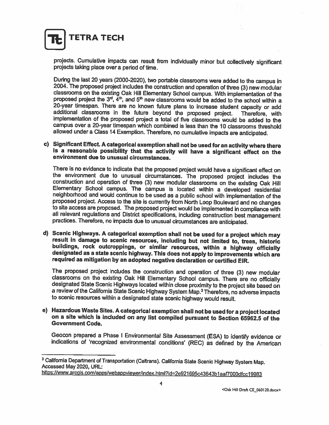

projects. Cumulative impacts can result from individually minor but collectively significant projects taking <sup>p</sup>lace over <sup>a</sup> period of time.

During the last 20 years (2000-2020), two portable classrooms were added to the campus in 2004. The proposed project includes the construction and operation of three (3) new modular classrooms on the existing Oak Hill Elem proposed project the  $3<sup>rd</sup>$ ,  $4<sup>th</sup>$ , and  $5<sup>th</sup>$  new classrooms would be added to the school within a 20-year timespan. There are no known future plans to increase student capacity or add additional classrooms in the future beyond the proposed project. Therefore, with implementation of the proposed project a total of five classrooms would be added to the campus over <sup>a</sup> 20-year timespan which combined is less than the 10 classrooms threshold allowed under <sup>a</sup> Class <sup>14</sup> Exemption. Therefore, no cumulative impacts are anticipated.

c) Significant Effect. <sup>A</sup> categorical exemption shall not be used for an activity where there is is a reasonable possibility that the activity will have a significant effect on the<br>environment due to unusual circumstances.

There is no evidence to indicate that the proposed project would have a significant effect on<br>the environment due to unusual circumstances. The proposed project includes the<br>construction and operation of three (3) new modu

d) Scenic Highways. A categorical exemption shall not be used for a project which may result in damage to scenic resources, including but not limited to, trees, historic<br>buildings, rock outcroppings, or similar resources, within a highway officially designated as a state scenic highway. This does not apply to improvements which are required as mitigation by an adopted negative declaration or certified EIR.

The proposed project includes the construction and operation of three (3) new modular classrooms on the existing Oak Hill Elementary School campus. There are no officially designated State Scenic Highways located within cl <sup>a</sup> review of the California State Scenic Highway System Map.3 Therefore, no adverse impacts to scenic resources within <sup>a</sup> designated state scenic highway would result.

e) Hazardous Waste Sites. A categorical exemption shall not be used for <sup>a</sup> project located on a site which is included on any list compiled pursuant to Section 65962.5 of the<br>Government Code.

Geocon prepared a Phase I Environmental Site Assessment (ESA) to identify evidence or indications of 'recognized environmental conditions' (REC) as defined by the American

<sup>&</sup>lt;sup>3</sup> California Department of Transportation (Caltrans). California State Scenic Highway System Map.<br>Accessed May 2020, URL:

https://www.arcgis.com/apps/webappviewer/index.html?id=2e921695c43643b1aaf7000dfcc19983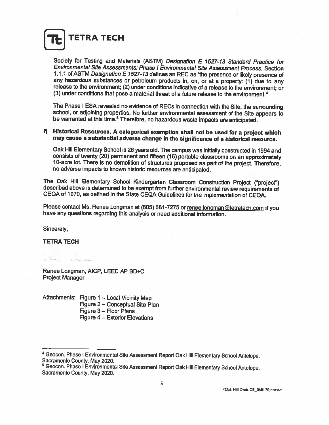TETRA TECH

Society for Testing and Materials (ASTM) Designation <sup>E</sup> 1527-13 Standard Practice for Environmental Site Assessments: Phase I Environmental Site Assessment Process. Section 1.1.1 of ASTM Designation E 1527-13 defines an REC as "the presence or likely presence of any hazardous substances or petroleum products in, on, or at a property:  $(1)$  due to any release to the environment; (2) under conditions indicative of a release to the environment; or (3) under conditions that pose <sup>a</sup> material threat of <sup>a</sup> future release to the environment.4

The Phase I ESA revealed no evidence of RECs in connection with the Site, the surrounding school, or adjoining properties. No further environmental assessment of the Site appears to be warranted at this time.<sup>5</sup> Therefore,

# f) Historical Resources. <sup>A</sup> categorical exemption shall not be used for <sup>a</sup> project which may cause <sup>a</sup> substantial adverse change in the significance of <sup>a</sup> historical resource.

Oak Hill Elementary School is <sup>26</sup> years old. The campus was initially constructed in <sup>1994</sup> and 10-acre lot. There is no demolition of structures proposed as part of the project. Therefore, no adverse impacts to known historic resources am anticipated.

The Oak Hill Elementary School Kindergarten Classroom Construction Project ("project") described above is determined to be exempt from further environmental review requirements of CEQA of 1970, as defined in the State CEQA

Please contact Ms. Renee Longman at (805) 681-7275 or renee.longman@tetratech.com if you<br>have any questions regarding this analysis or need additional information.

Sincerely,

#### TErRA TECH

Renee Longman, AICP, LEED AP BD+C Project Manager

Attachments: Figure <sup>1</sup> — Local Vicinity Map Figure 2— Conceptual Site Plan Figure 3— Floor Plans Figure 4 — Exterior Elevations

<sup>&</sup>lt;sup>4</sup> Geocon. Phase I Environmental Site Assessment Report Oak Hill Elementary School Antelope, Sacramento County. May 2020.

<sup>&</sup>lt;sup>5</sup> Geocon. Phase I Environmental Site Assessment Report Oak Hill Elementary School Antelope, Sacramento County. May 2020.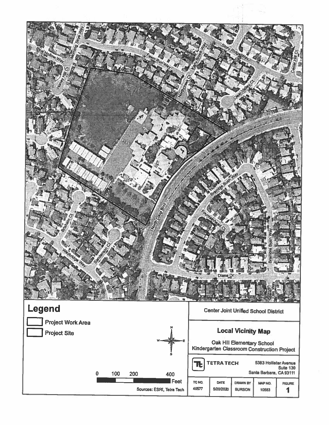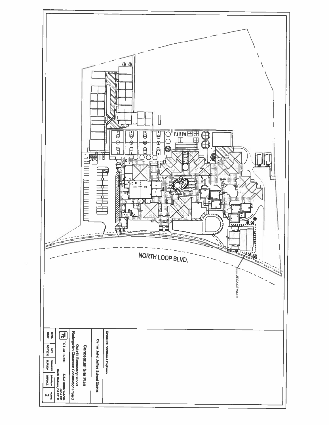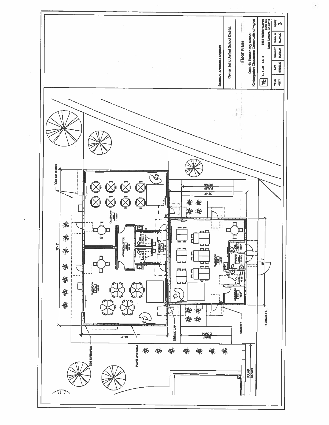